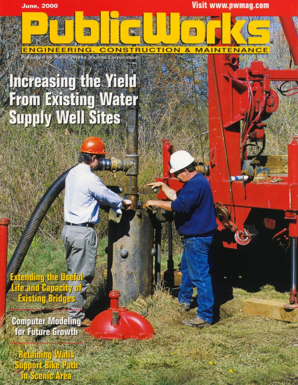**June, 2000** 

敬君

**Visit www.pwmag.com** 

**MAINTEN** 

酬

 $\mathbf{g}_i$ 

## **Increasing the Yield From Existing Water Supply Well Sites**

**ENGINEERING** 

爨

Published by Public Works Journal Corporation

**CONSTRUCTION** 

Exteriting the Useful<br>Life and Capacity of<br>Existing Bridges

**Computer Modeling** for Future Growth

يدخالطا واششةفاز support Bike Path as **Empocente Area**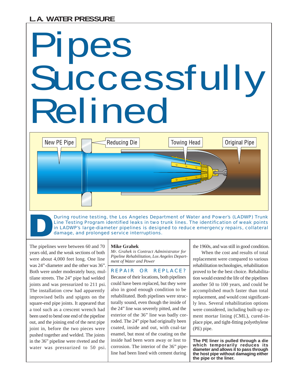New PE Pipe

# Pipes Successfully Relined

During routine testing, the Los Angeles Department of Water and Power's (LADWP) Trunk Line Testing Program identified leaks in two trunk lines. The identification of weak points in LADWP's large-diameter pipelines is designed to reduce emergency repairs, collateral damage, and prolonged service interruptions.

**Towing Head** 

The pipelines were between 60 and 70 years old, and the weak sections of both were about 4,000 feet long. One line was 24"-diameter and the other was 36". Both were under moderately busy, multilane streets. The 24" pipe had welded joints and was pressurized to 211 psi. The installation crew had apparently improvised bells and spigots on the square-end pipe joints. It appeared that a tool such as a crescent wrench had been used to bend one end of the pipeline out, and the joining end of the next pipe joint in, before the two pieces were pushed together and welded. The joints in the 36" pipeline were riveted and the water was pressurized to 50 psi.

#### **Mike Grahek**

**Reducing Die** 

*Mr. Grahek is Contract Administrator for Pipeline Rehabilitation, Los Angeles Department of Water and Power*

REPAIR OR REPLACE? Because of their locations, both pipelines could have been replaced, but they were also in good enough condition to be rehabilitated. Both pipelines were structurally sound, even though the inside of the 24" line was severely pitted, and the exterior of the 36" line was badly corroded. The 24" pipe had originally been coated, inside and out, with coal-tar enamel, but most of the coating on the inside had been worn away or lost to corrosion. The interior of the 36" pipeline had been lined with cement during

the 1960s, and was still in good condition.

Original Pipe

When the cost and results of total replacement were compared to various rehabilitation technologies, rehabilitation proved to be the best choice. Rehabilitation would extend the life of the pipelines another 50 to 100 years, and could be accomplished much faster than total replacement, and would cost significantly less. Several rehabilitation options were considered, including built-up cement mortar lining (CML), cured-inplace pipe, and tight-fitting polyethylene (PE) pipe.

**The PE liner is pulled through a die which temporarily reduces its diameter and allows it to pass through the host pipe without damaging either the pipe or the liner.**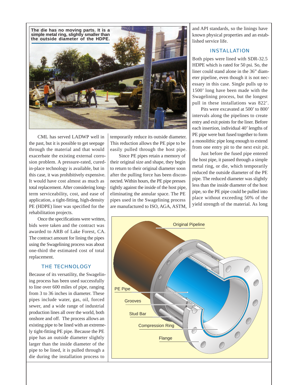

CML has served LADWP well in the past, but it is possible to get seepage through the material and that would exacerbate the existing external corrosion problem. A pressure-rated, curedin-place technology is available, but in this case, it was prohibitively expensive. It would have cost almost as much as total replacement. After considering longterm serviceability, cost, and ease of application, a tight-fitting, high-density PE (HDPE) liner was specified for the rehabilitation projects.

Once the specifications were written, bids were taken and the contract was awarded to ARB of Lake Forest, CA. The contract amount for lining the pipes using the Swagelining process was about one-third the estimated cost of total replacement.

#### THE TECHNOLOGY

Because of its versatility, the Swagelining process has been used successfully to line over 600 miles of pipe, ranging from 3 to 36 inches in diameter. These pipes include water, gas, oil, forced sewer, and a wide range of industrial production lines all over the world, both onshore and off. The process allows an existing pipe to be lined with an extremely tight-fitting PE pipe. Because the PE pipe has an outside diameter slightly larger than the inside diameter of the pipe to be lined, it is pulled through a die during the installation process to

temporarily reduce its outside diameter. This reduction allows the PE pipe to be easily pulled through the host pipe.

Since PE pipes retain a memory of their original size and shape, they begin to return to their original diameter soon after the pulling force has been disconnected. Within hours, the PE pipe presses tightly against the inside of the host pipe, eliminating the annular space. The PE pipes used in the Swagelining process are manufactured to ISO, AGA, ASTM,

and API standards, so the linings have known physical properties and an established service life.

### INSTALLATION

Both pipes were lined with SDR-32.5 HDPE which is rated for 50 psi. So, the liner could stand alone in the 36" diameter pipeline, even though it is not necessary in this case. Single pulls up to 1500' long have been made with the Swagelining process, but the longest pull in these installations was 822'.

Pits were excavated at 500' to 800' intervals along the pipelines to create entry and exit points for the liner. Before each insertion, individual 40' lengths of PE pipe were butt fused together to form a monolithic pipe long enough to extend from one entry pit to the next exit pit.

Just before the fused pipe entered the host pipe, it passed through a simple metal ring, or die, which temporarily reduced the outside diameter of the PE pipe. The reduced diameter was slightly less than the inside diameter of the host pipe, so the PE pipe could be pulled into place without exceeding 50% of the yield strength of the material. As long